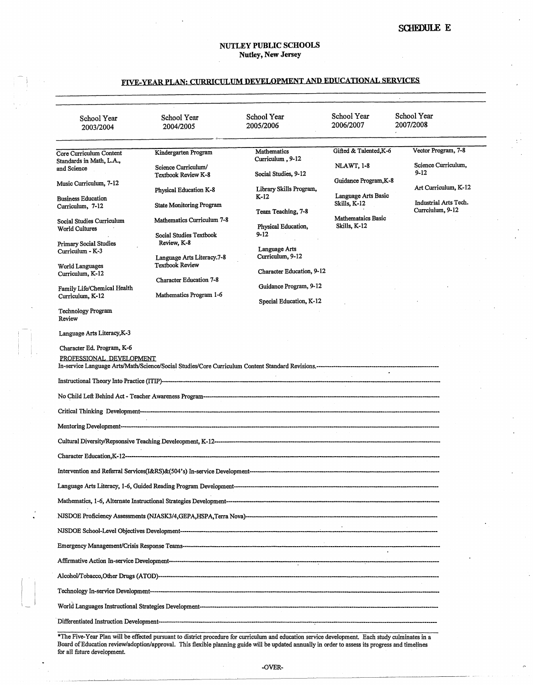## FIVE-VEAR PLAN: CURRICULUM DEVELOPMENT AND EDUCATIONAL SERVICES

| School Year<br>2003/2004                                                              | School Year<br>2004/2005                                                    | School Year<br>2005/2006                          | School Year<br>2006/2007                    | School Year<br>2007/2008                      |
|---------------------------------------------------------------------------------------|-----------------------------------------------------------------------------|---------------------------------------------------|---------------------------------------------|-----------------------------------------------|
| Core Curriculum Content<br>Standards in Math, L.A.,                                   | Kindergarten Program                                                        | Mathematics<br>Curriculum, 9-12                   | Gifted & Talented, K-6<br><b>NLAWT, 1-8</b> | Vector Program, 7-8<br>Science Curriculum,    |
| and Science<br>Music Curriculum, 7-12                                                 | Science Curriculum/<br>Textbook Review K-8                                  | Social Studies, 9-12                              | Guidance Program, K-8                       | $9 - 12$                                      |
| <b>Business Education</b><br>Curriculum, 7-12                                         | Physical Education K-8<br><b>State Monitoring Program</b>                   | Library Skills Program,<br>$K-12$                 | Language Arts Basic<br>Skills, K-12         | Art Curriculum, K-12<br>Industrial Arts Tech. |
| Social Studies Curriculum<br><b>World Cultures</b>                                    | Mathematics Curriculum 7-8                                                  | Team Teaching, 7-8<br>Physical Education,         | <b>Mathemataics Basic</b><br>Skills, K-12   | Currciulum, 9-12                              |
| Primary Social Studies<br>Curriculum - K-3                                            | <b>Social Studies Textbook</b><br>Review, K-8<br>Language Arts Literacy.7-8 | 9-12<br>Language Arts<br>Curriculum, 9-12         |                                             |                                               |
| <b>World Languages</b><br>Curriculum, K-12                                            | <b>Textbook Review</b><br><b>Character Education 7-8</b>                    | Character Education, 9-12                         |                                             |                                               |
| Family Life/Chemical Health<br>Curriculum, K-12                                       | Mathematics Program 1-6                                                     | Guidance Program, 9-12<br>Special Education, K-12 |                                             |                                               |
| <b>Technology Program</b><br>Review                                                   |                                                                             |                                                   |                                             |                                               |
| Language Arts Literacy, K-3<br>Character Ed. Program, K-6<br>PROFESSIONAL DEVELOPMENT |                                                                             |                                                   |                                             |                                               |
|                                                                                       |                                                                             |                                                   |                                             |                                               |
|                                                                                       |                                                                             |                                                   |                                             |                                               |
|                                                                                       |                                                                             |                                                   |                                             |                                               |
|                                                                                       |                                                                             |                                                   |                                             |                                               |
|                                                                                       |                                                                             |                                                   |                                             |                                               |
|                                                                                       |                                                                             |                                                   |                                             |                                               |
|                                                                                       |                                                                             |                                                   |                                             |                                               |
|                                                                                       |                                                                             |                                                   |                                             |                                               |
|                                                                                       |                                                                             |                                                   |                                             |                                               |
|                                                                                       |                                                                             |                                                   |                                             |                                               |
|                                                                                       |                                                                             |                                                   |                                             |                                               |
|                                                                                       |                                                                             |                                                   |                                             |                                               |
|                                                                                       |                                                                             |                                                   |                                             |                                               |

\*The Five-Year Plan will be effected pursuant to district procedure for curriculum and education service development. Each study culminates in a Board of Education review/adoption/approval. This flexible planning guide will be updated annually in order to assess its progress and timelines for all future development. *a* if the same of the same of the same of the same of the same of the same of the same of the same of the same of the same of the same of the same of the same of the same of the same of the s